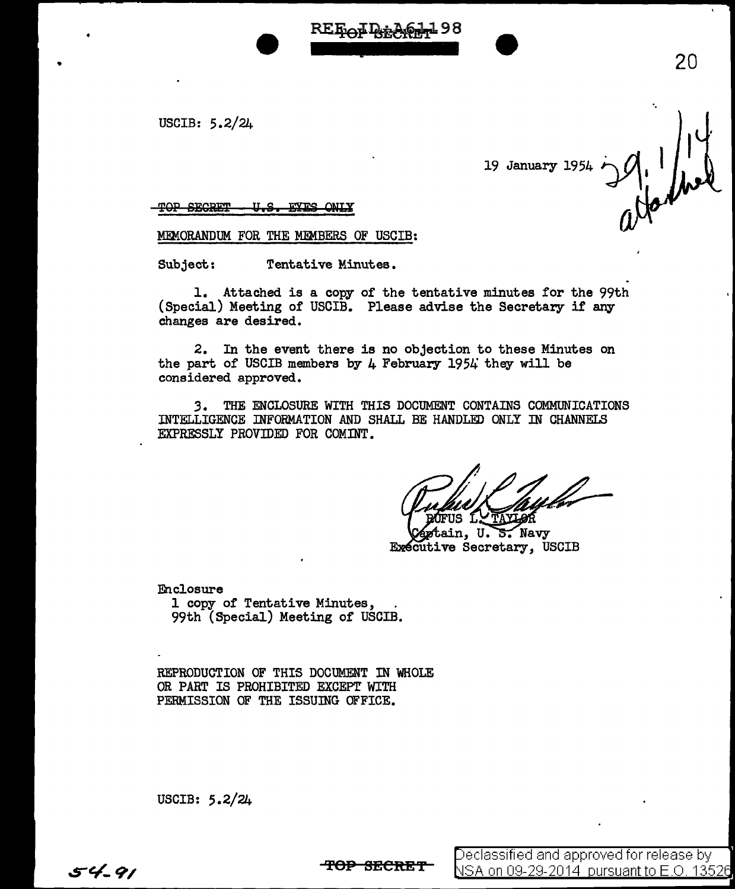USCIB: 5.2/24

•

19 January 1954 ·.

20

**TOP SECRET - U.S. EYES ONLY** 

MEMORANDUM FOR THE MEMBERS OF USCIB:

Subject: Tentative Minutes.

1. Attached is a copy or the tentative minutes for the 99th (Special) Meeting of USCIB. Please advise the Secretary if any changes are desired.

RE Rot D+A

2. In the event there is no objection to these Minutes on the part of USCIB members by  $\mu$  February 1954 they will be considered approved.

3. THE ENCLOSURE WITH THIS DOCUMENT CONTAINS COMMUNICATIONS INTELLIGENCE INFORMATION AND SHALL BE HANDLED ONLY IN CHANNELS EXPRESSLY PROVIDED FOR COMINT.

**TAYLOR** 

tain, U. S. Navy **Executive Secretary, USCIB** 

Enclosure<br>1 copy of Tentative Minutes, 99th (Special) Meeting of USCIB.

REPRODUCTION OF THIS DOCUMENT IN WHOLE OR PART IS PROHIBITED EXCEPT WITH PERMISSION OF THE ISSUING OFFICE.

USCIB: 5.2/24

**TOP SECRET**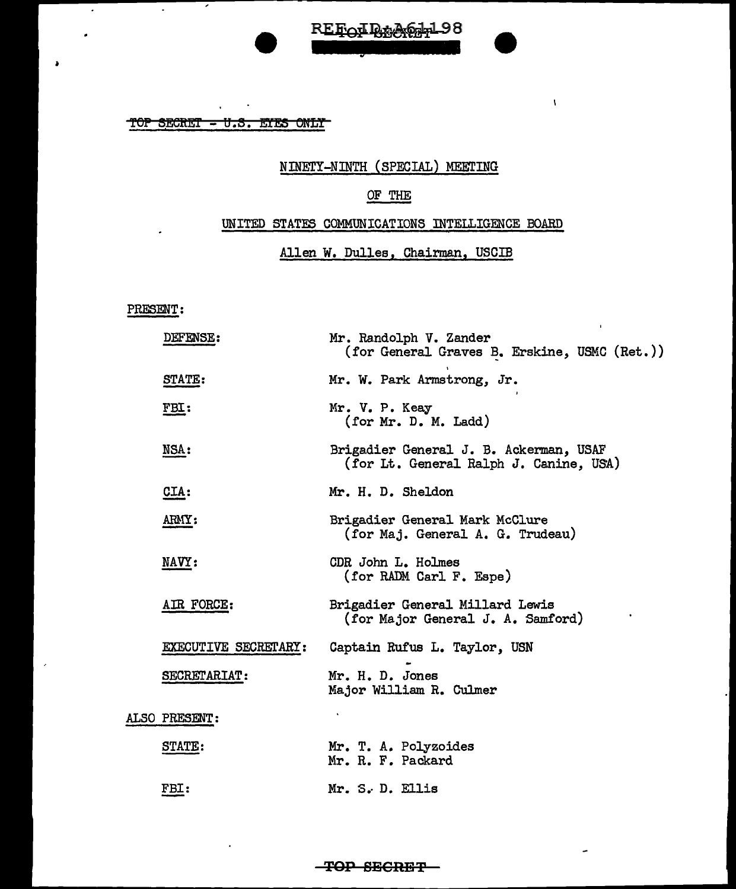TOP SECRET - U.S. ETES ONLY

 $\hat{\mathbf{r}}$ 

7

 $\overline{\phantom{a}}$ 

 $\overline{\phantom{a}}$ 

 $\epsilon$ 

 $\mathbf{r}$ 

# NINErY-NINTH (SPECIAL) MEETING

 $\bar{V}$ 

 $\overline{a}$ 

REFOIR AGA198

## OF THE

### UNITED STATES COMMUNICATIONS INTELLIGENCE BOARD

Allen W. Dulles, Chairman, USCIB

#### PRESENT:

|  | DEFENSE:             | Mr. Randolph V. Zander<br>(for General Graves B. Erskine, USMC (Ret.))           |
|--|----------------------|----------------------------------------------------------------------------------|
|  | STATE:               | Mr. W. Park Armstrong, Jr.                                                       |
|  | FBI:                 | Mr. V. P. Keay<br>(for Mr. D. M. Ladd)                                           |
|  | NSA:                 | Brigadier General J. B. Ackerman, USAF<br>(for Lt. General Ralph J. Canine, USA) |
|  | $CLA$ :              | Mr. H. D. Sheldon                                                                |
|  | ARMY:                | Brigadier General Mark McClure<br>(for Maj. General A. G. Trudeau)               |
|  | NAVY:                | CDR John L. Holmes<br>(for RADM Carl F. Espe)                                    |
|  | AIR FORCE:           | Brigadier General Millard Lewis<br>(for Major General J. A. Samford)             |
|  | EXECUTIVE SECRETARY: | Captain Rufus L. Taylor, USN                                                     |
|  | <b>SECRETARIAT:</b>  | Mr. H. D. Jones<br>Major William R. Culmer                                       |
|  | ALSO PRESENT:        |                                                                                  |
|  | STATE:               | Mr. T. A. Polyzoides<br>Mr. R. F. Packard                                        |
|  | FBI:                 | Mr. S. D. Ellis                                                                  |

**TOP BEGRE'P**